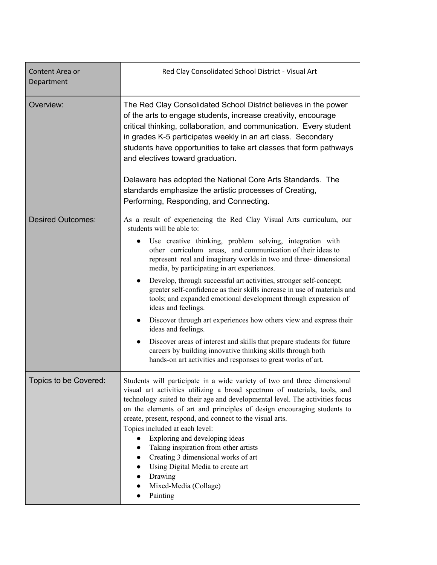| Content Area or<br>Department | Red Clay Consolidated School District - Visual Art                                                                                                                                                                                                                                                                                                                                                                                                                                                                                                                                                                                  |
|-------------------------------|-------------------------------------------------------------------------------------------------------------------------------------------------------------------------------------------------------------------------------------------------------------------------------------------------------------------------------------------------------------------------------------------------------------------------------------------------------------------------------------------------------------------------------------------------------------------------------------------------------------------------------------|
| Overview:                     | The Red Clay Consolidated School District believes in the power<br>of the arts to engage students, increase creativity, encourage<br>critical thinking, collaboration, and communication. Every student<br>in grades K-5 participates weekly in an art class. Secondary<br>students have opportunities to take art classes that form pathways<br>and electives toward graduation.<br>Delaware has adopted the National Core Arts Standards. The<br>standards emphasize the artistic processes of Creating,<br>Performing, Responding, and Connecting.                                                                               |
|                               |                                                                                                                                                                                                                                                                                                                                                                                                                                                                                                                                                                                                                                     |
| <b>Desired Outcomes:</b>      | As a result of experiencing the Red Clay Visual Arts curriculum, our<br>students will be able to:                                                                                                                                                                                                                                                                                                                                                                                                                                                                                                                                   |
|                               | Use creative thinking, problem solving, integration with<br>other curriculum areas, and communication of their ideas to<br>represent real and imaginary worlds in two and three-dimensional<br>media, by participating in art experiences.                                                                                                                                                                                                                                                                                                                                                                                          |
|                               | Develop, through successful art activities, stronger self-concept;<br>$\bullet$<br>greater self-confidence as their skills increase in use of materials and<br>tools; and expanded emotional development through expression of<br>ideas and feelings.                                                                                                                                                                                                                                                                                                                                                                               |
|                               | Discover through art experiences how others view and express their<br>$\bullet$<br>ideas and feelings.                                                                                                                                                                                                                                                                                                                                                                                                                                                                                                                              |
|                               | Discover areas of interest and skills that prepare students for future<br>$\bullet$<br>careers by building innovative thinking skills through both<br>hands-on art activities and responses to great works of art.                                                                                                                                                                                                                                                                                                                                                                                                                  |
| Topics to be Covered:         | Students will participate in a wide variety of two and three dimensional<br>visual art activities utilizing a broad spectrum of materials, tools, and<br>technology suited to their age and developmental level. The activities focus<br>on the elements of art and principles of design encouraging students to<br>create, present, respond, and connect to the visual arts.<br>Topics included at each level:<br>Exploring and developing ideas<br>Taking inspiration from other artists<br>Creating 3 dimensional works of art<br>$\bullet$<br>Using Digital Media to create art<br>Drawing<br>Mixed-Media (Collage)<br>Painting |